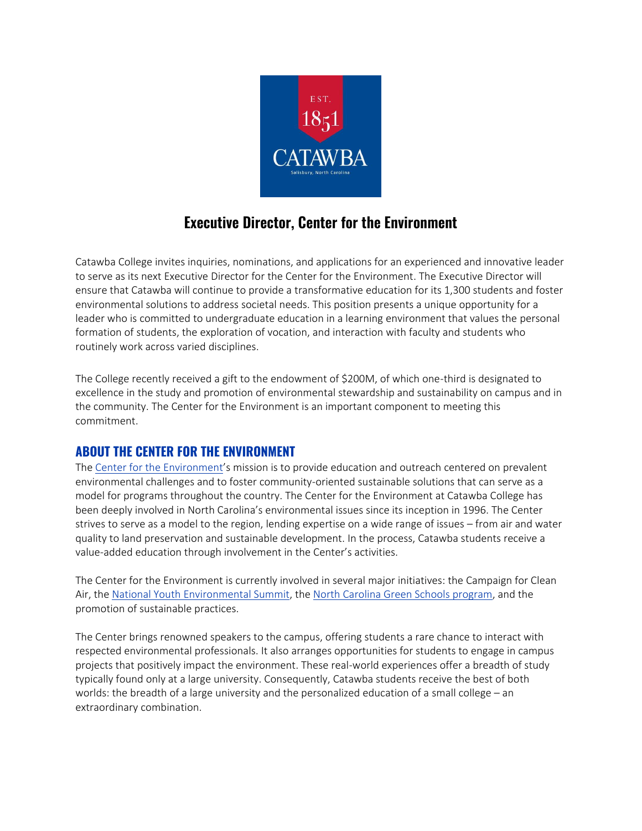

# **Executive Director, Center for the Environment**

Catawba College invites inquiries, nominations, and applications for an experienced and innovative leader to serve as its next Executive Director for the Center for the Environment. The Executive Director will ensure that Catawba will continue to provide a transformative education for its 1,300 students and foster environmental solutions to address societal needs. This position presents a unique opportunity for a leader who is committed to undergraduate education in a learning environment that values the personal formation of students, the exploration of vocation, and interaction with faculty and students who routinely work across varied disciplines.

The College recently received a gift to the endowment of \$200M, of which one-third is designated to excellence in the study and promotion of environmental stewardship and sustainability on campus and in the community. The Center for the Environment is an important component to meeting this commitment.

### **ABOUT THE CENTER FOR THE ENVIRONMENT**

The [Center for the Environment](http://www.centerfortheenvironment.org/home.html)'s mission is to provide education and outreach centered on prevalent environmental challenges and to foster community-oriented sustainable solutions that can serve as a model for programs throughout the country. The Center for the Environment at Catawba College has been deeply involved in North Carolina's environmental issues since its inception in 1996. The Center strives to serve as a model to the region, lending expertise on a wide range of issues – from air and water quality to land preservation and sustainable development. In the process, Catawba students receive a value-added education through involvement in the Center's activities.

The Center for the Environment is currently involved in several major initiatives: the Campaign for Clean Air, the [National Youth Environmental Summit,](https://centerfortheenvironment.org/national-environmental-summit/) the [North Carolina Green Schools program,](https://centerfortheenvironment.org/ncgreenschools/) and the promotion of sustainable practices.

The Center brings renowned speakers to the campus, offering students a rare chance to interact with respected environmental professionals. It also arranges opportunities for students to engage in campus projects that positively impact the environment. These real-world experiences offer a breadth of study typically found only at a large university. Consequently, Catawba students receive the best of both worlds: the breadth of a large university and the personalized education of a small college – an extraordinary combination.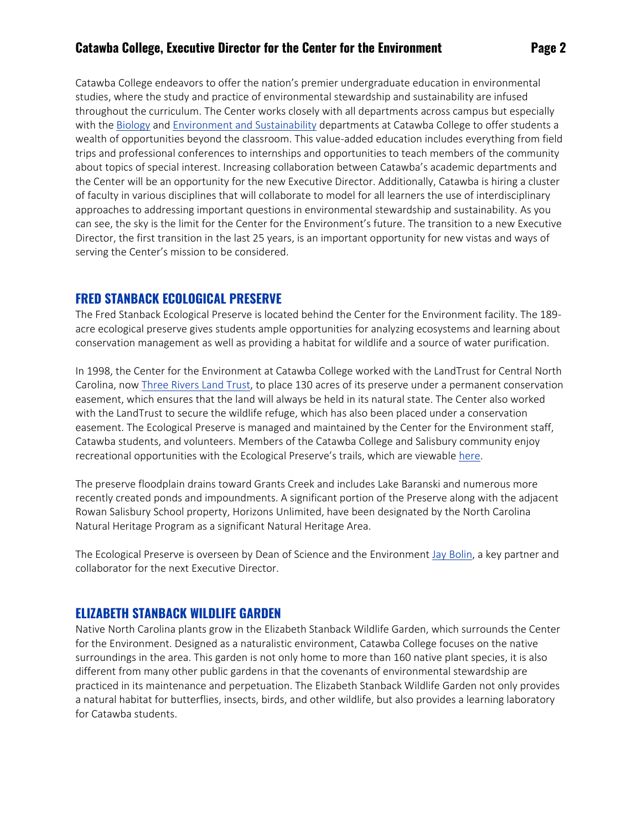Catawba College endeavors to offer the nation's premier undergraduate education in environmental studies, where the study and practice of environmental stewardship and sustainability are infused throughout the curriculum. The Center works closely with all departments across campus but especially with the [Biology](https://catawba.edu/academics/programs/undergraduate/biology/) and [Environment and](https://catawba.edu/academics/programs/undergraduate/environment-and-sustainability/) Sustainability departments at Catawba College to offer students a wealth of opportunities beyond the classroom. This value-added education includes everything from field trips and professional conferences to internships and opportunities to teach members of the community about topics of special interest. Increasing collaboration between Catawba's academic departments and the Center will be an opportunity for the new Executive Director. Additionally, Catawba is hiring a cluster of faculty in various disciplines that will collaborate to model for all learners the use of interdisciplinary approaches to addressing important questions in environmental stewardship and sustainability. As you can see, the sky is the limit for the Center for the Environment's future. The transition to a new Executive Director, the first transition in the last 25 years, is an important opportunity for new vistas and ways of serving the Center's mission to be considered.

## **FRED STANBACK ECOLOGICAL PRESERVE**

The Fred Stanback Ecological Preserve is located behind the Center for the Environment facility. The 189 acre ecological preserve gives students ample opportunities for analyzing ecosystems and learning about conservation management as well as providing a habitat for wildlife and a source of water purification.

In 1998, the Center for the Environment at Catawba College worked with the LandTrust for Central North Carolina, now [Three Rivers Land Trust,](https://threeriverslandtrust.org/) to place 130 acres of its preserve under a permanent conservation easement, which ensures that the land will always be held in its natural state. The Center also worked with the LandTrust to secure the wildlife refuge, which has also been placed under a conservation easement. The Ecological Preserve is managed and maintained by the Center for the Environment staff, Catawba students, and volunteers. Members of the Catawba College and Salisbury community enjoy recreational opportunities with the Ecological Preserve's trails, which are viewable here.

The preserve floodplain drains toward Grants Creek and includes Lake Baranski and numerous more recently created ponds and impoundments. A significant portion of the Preserve along with the adjacent Rowan Salisbury School property, Horizons Unlimited, have been designated by the North Carolina Natural Heritage Program as a significant Natural Heritage Area.

The Ecological Preserve is overseen by Dean of Science and the Environment [Jay Bolin,](http://faculty.catawba.edu/jfbolin/) a key partner and collaborator for the next Executive Director.

### **ELIZABETH STANBACK WILDLIFE GARDEN**

Native North Carolina plants grow in the Elizabeth Stanback Wildlife Garden, which surrounds the Center for the Environment. Designed as a naturalistic environment, Catawba College focuses on the native surroundings in the area. This garden is not only home to more than 160 native plant species, it is also different from many other public gardens in that the covenants of environmental stewardship are practiced in its maintenance and perpetuation. The Elizabeth Stanback Wildlife Garden not only provides a natural habitat for butterflies, insects, birds, and other wildlife, but also provides a learning laboratory for Catawba students.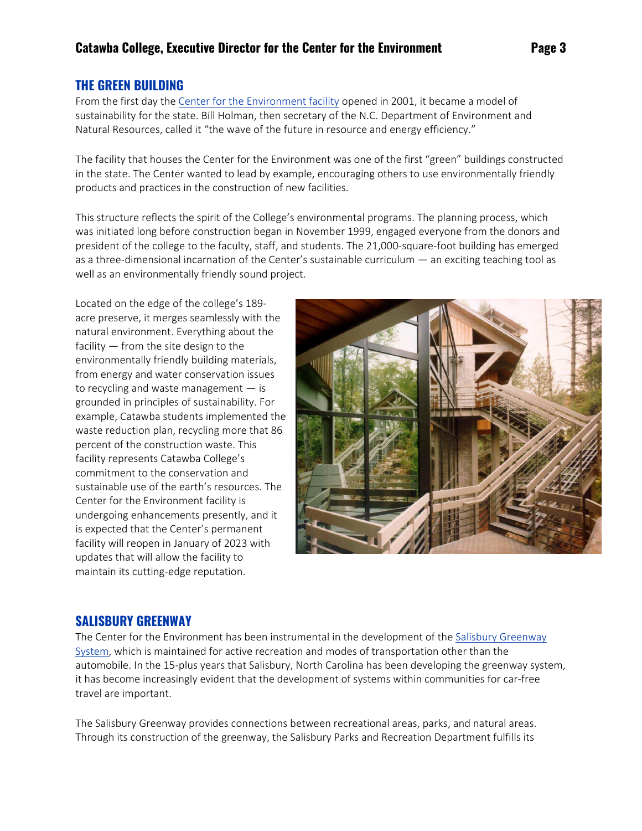### **THE GREEN BUILDING**

From the first day the [Center for the Environment facility](https://map.concept3d.com/?id=499#!m/52751) opened in 2001, it became a model of sustainability for the state. Bill Holman, then secretary of the N.C. Department of Environment and Natural Resources, called it "the wave of the future in resource and energy efficiency."

The facility that houses the Center for the Environment was one of the first "green" buildings constructed in the state. The Center wanted to lead by example, encouraging others to use environmentally friendly products and practices in the construction of new facilities.

This structure reflects the spirit of the College's environmental programs. The planning process, which was initiated long before construction began in November 1999, engaged everyone from the donors and president of the college to the faculty, staff, and students. The 21,000-square-foot building has emerged as a three-dimensional incarnation of the Center's sustainable curriculum — an exciting teaching tool as well as an environmentally friendly sound project.

Located on the edge of the college's 189 acre preserve, it merges seamlessly with the natural environment. Everything about the facility — from the site design to the environmentally friendly building materials, from energy and water conservation issues to recycling and waste management — is grounded in principles of sustainability. For example, Catawba students implemented the waste reduction plan, recycling more that 86 percent of the construction waste. This facility represents Catawba College's commitment to the conservation and sustainable use of the earth's resources. The Center for the Environment facility is undergoing enhancements presently, and it is expected that the Center's permanent facility will reopen in January of 2023 with updates that will allow the facility to maintain its cutting-edge reputation.



#### **SALISBURY GREENWAY**

The Center for the Environment has been instrumental in the development of the [Salisbury Greenway](https://www.salisburync.gov/pkrec/Greenway2.htm)  [System,](https://www.salisburync.gov/pkrec/Greenway2.htm) which is maintained for active recreation and modes of transportation other than the automobile. In the 15-plus years that Salisbury, North Carolina has been developing the greenway system, it has become increasingly evident that the development of systems within communities for car-free travel are important.

The Salisbury Greenway provides connections between recreational areas, parks, and natural areas. Through its construction of the greenway, the Salisbury Parks and Recreation Department fulfills its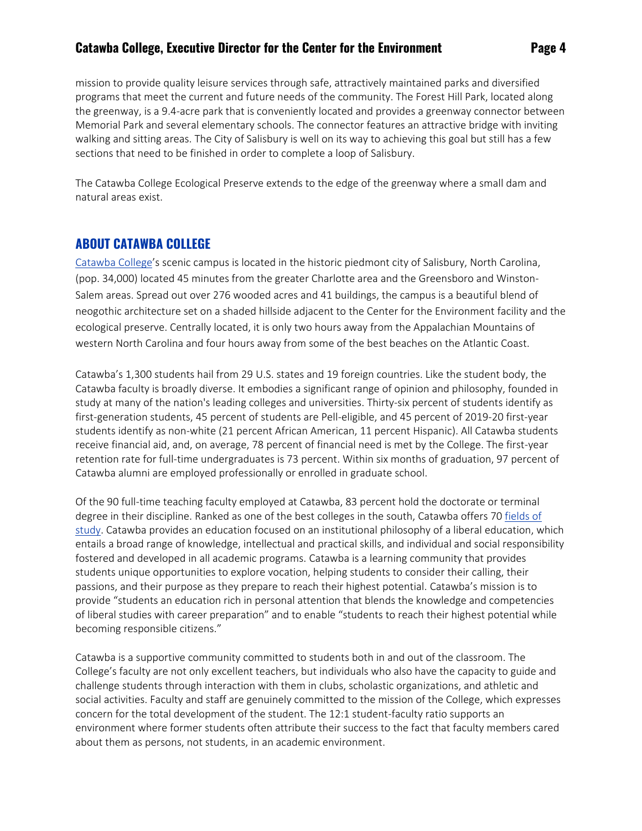mission to provide quality leisure services through safe, attractively maintained parks and diversified programs that meet the current and future needs of the community. The Forest Hill Park, located along the greenway, is a 9.4-acre park that is conveniently located and provides a greenway connector between Memorial Park and several elementary schools. The connector features an attractive bridge with inviting walking and sitting areas. The City of Salisbury is well on its way to achieving this goal but still has a few sections that need to be finished in order to complete a loop of Salisbury.

The Catawba College Ecological Preserve extends to the edge of the greenway where a small dam and natural areas exist.

### **ABOUT CATAWBA COLLEGE**

[Catawba College](https://catawba.edu/)'s scenic campus is located in the historic piedmont city of Salisbury, North Carolina, (pop. 34,000) located 45 minutes from the greater Charlotte area and the Greensboro and Winston-Salem areas. Spread out over 276 wooded acres and 41 buildings, the campus is a beautiful blend of neogothic architecture set on a shaded hillside adjacent to the Center for the Environment facility and the ecological preserve. Centrally located, it is only two hours away from the Appalachian Mountains of western North Carolina and four hours away from some of the best beaches on the Atlantic Coast.

Catawba's 1,300 students hail from 29 U.S. states and 19 foreign countries. Like the student body, the Catawba faculty is broadly diverse. It embodies a significant range of opinion and philosophy, founded in study at many of the nation's leading colleges and universities. Thirty-six percent of students identify as first-generation students, 45 percent of students are Pell-eligible, and 45 percent of 2019-20 first-year students identify as non-white (21 percent African American, 11 percent Hispanic). All Catawba students receive financial aid, and, on average, 78 percent of financial need is met by the College. The first-year retention rate for full-time undergraduates is 73 percent. Within six months of graduation, 97 percent of Catawba alumni are employed professionally or enrolled in graduate school.

Of the 90 full-time teaching faculty employed at Catawba, 83 percent hold the doctorate or terminal degree in their discipline. Ranked as one of the best colleges in the south, Catawba offers 7[0 fields of](https://catawba.edu/majors)  [study.](https://catawba.edu/majors) Catawba provides an education focused on an institutional philosophy of a liberal education, which entails a broad range of knowledge, intellectual and practical skills, and individual and social responsibility fostered and developed in all academic programs. Catawba is a learning community that provides students unique opportunities to explore vocation, helping students to consider their calling, their passions, and their purpose as they prepare to reach their highest potential. Catawba's mission is to provide "students an education rich in personal attention that blends the knowledge and competencies of liberal studies with career preparation" and to enable "students to reach their highest potential while becoming responsible citizens."

Catawba is a supportive community committed to students both in and out of the classroom. The College's faculty are not only excellent teachers, but individuals who also have the capacity to guide and challenge students through interaction with them in clubs, scholastic organizations, and athletic and social activities. Faculty and staff are genuinely committed to the mission of the College, which expresses concern for the total development of the student. The 12:1 student-faculty ratio supports an environment where former students often attribute their success to the fact that faculty members cared about them as persons, not students, in an academic environment.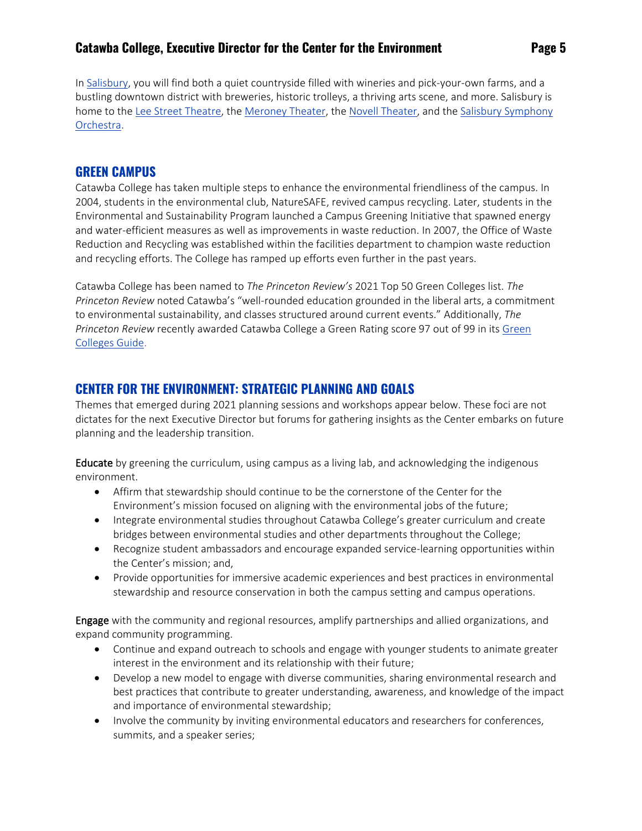In [Salisbury,](https://www.visitsalisburync.com/) you will find both a quiet countryside filled with wineries and pick-your-own farms, and a bustling downtown district with breweries, historic trolleys, a thriving arts scene, and more. Salisbury is home to the [Lee Street Theatre,](https://www.leestreet.org/) the [Meroney Theater,](https://piedmontplayers.com/) the [Novell Theater,](https://piedmontplayers.com/the-norvell-theater/) and the [Salisbury Symphony](file:///C:/Users/j.sirianni/Desktop/salisbury%20symphony%20orchestra)  [Orchestra.](file:///C:/Users/j.sirianni/Desktop/salisbury%20symphony%20orchestra)

#### **GREEN CAMPUS**

Catawba College has taken multiple steps to enhance the environmental friendliness of the campus. In 2004, students in the environmental club, NatureSAFE, revived campus recycling. Later, students in the Environmental and Sustainability Program launched a Campus Greening Initiative that spawned energy and water-efficient measures as well as improvements in waste reduction. In 2007, the Office of Waste Reduction and Recycling was established within the facilities department to champion waste reduction and recycling efforts. The College has ramped up efforts even further in the past years.

Catawba College has been named to *The Princeton Review's* 2021 Top 50 Green Colleges list. *The Princeton Review* noted Catawba's "well-rounded education grounded in the liberal arts, a commitment to environmental sustainability, and classes structured around current events." Additionally, *The Princeton Review* recently awarded Catawba College a Green Rating score 97 out of 99 in its [Green](https://catawba.edu/greencolleges)  [Colleges Guide.](https://catawba.edu/greencolleges)

## **CENTER FOR THE ENVIRONMENT: STRATEGIC PLANNING AND GOALS**

Themes that emerged during 2021 planning sessions and workshops appear below. These foci are not dictates for the next Executive Director but forums for gathering insights as the Center embarks on future planning and the leadership transition.

Educate by greening the curriculum, using campus as a living lab, and acknowledging the indigenous environment.

- Affirm that stewardship should continue to be the cornerstone of the Center for the Environment's mission focused on aligning with the environmental jobs of the future;
- Integrate environmental studies throughout Catawba College's greater curriculum and create bridges between environmental studies and other departments throughout the College;
- Recognize student ambassadors and encourage expanded service-learning opportunities within the Center's mission; and,
- Provide opportunities for immersive academic experiences and best practices in environmental stewardship and resource conservation in both the campus setting and campus operations.

**Engage** with the community and regional resources, amplify partnerships and allied organizations, and expand community programming.

- Continue and expand outreach to schools and engage with younger students to animate greater interest in the environment and its relationship with their future;
- Develop a new model to engage with diverse communities, sharing environmental research and best practices that contribute to greater understanding, awareness, and knowledge of the impact and importance of environmental stewardship;
- Involve the community by inviting environmental educators and researchers for conferences, summits, and a speaker series;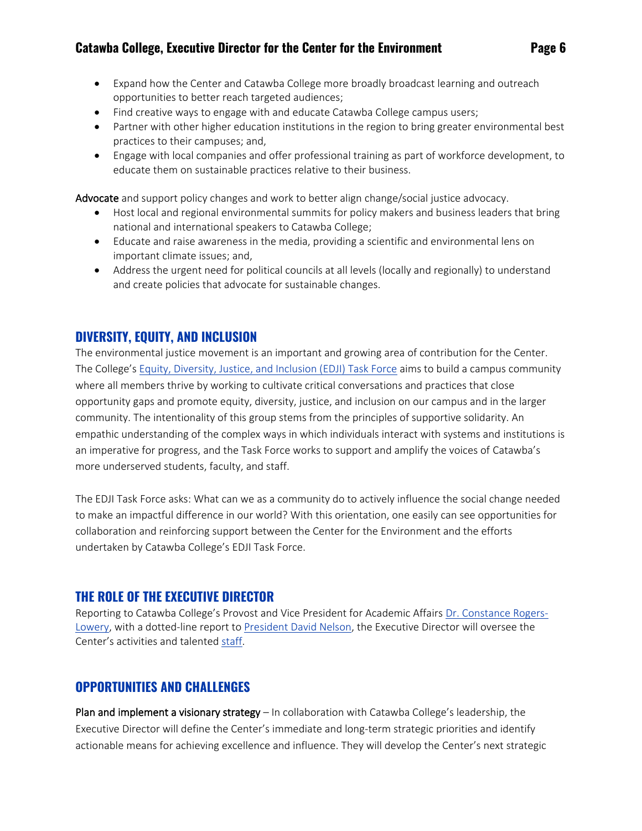- Expand how the Center and Catawba College more broadly broadcast learning and outreach opportunities to better reach targeted audiences;
- Find creative ways to engage with and educate Catawba College campus users;
- Partner with other higher education institutions in the region to bring greater environmental best practices to their campuses; and,
- Engage with local companies and offer professional training as part of workforce development, to educate them on sustainable practices relative to their business.

Advocate and support policy changes and work to better align change/social justice advocacy.

- Host local and regional environmental summits for policy makers and business leaders that bring national and international speakers to Catawba College;
- Educate and raise awareness in the media, providing a scientific and environmental lens on important climate issues; and,
- Address the urgent need for political councils at all levels (locally and regionally) to understand and create policies that advocate for sustainable changes.

## **DIVERSITY, EQUITY, AND INCLUSION**

The environmental justice movement is an important and growing area of contribution for the Center. The College's [Equity, Diversity, Justice, and Inclusion \(EDJI\) Task Force](https://catawba.edu/facultystaff/committees/edji/) aims to build a campus community where all members thrive by working to cultivate critical conversations and practices that close opportunity gaps and promote equity, diversity, justice, and inclusion on our campus and in the larger community. The intentionality of this group stems from the principles of supportive solidarity. An empathic understanding of the complex ways in which individuals interact with systems and institutions is an imperative for progress, and the Task Force works to support and amplify the voices of Catawba's more underserved students, faculty, and staff.

The EDJI Task Force asks: What can we as a community do to actively influence the social change needed to make an impactful difference in our world? With this orientation, one easily can see opportunities for collaboration and reinforcing support between the Center for the Environment and the efforts undertaken by Catawba College's EDJI Task Force.

### **THE ROLE OF THE EXECUTIVE DIRECTOR**

Reporting to Catawba College's Provost and Vice President for Academic Affairs [Dr. Constance Rogers-](https://catawba.edu/about/offices/provost/)[Lowery,](https://catawba.edu/about/offices/provost/) with a dotted-line report to [President David Nelson,](https://catawba.edu/catawbas-24th-president/) the Executive Director will oversee the Center's activities and talented [staff.](https://centerfortheenvironment.org/meet-the-staff/)

## **OPPORTUNITIES AND CHALLENGES**

Plan and implement a visionary strategy – In collaboration with Catawba College's leadership, the Executive Director will define the Center's immediate and long-term strategic priorities and identify actionable means for achieving excellence and influence. They will develop the Center's next strategic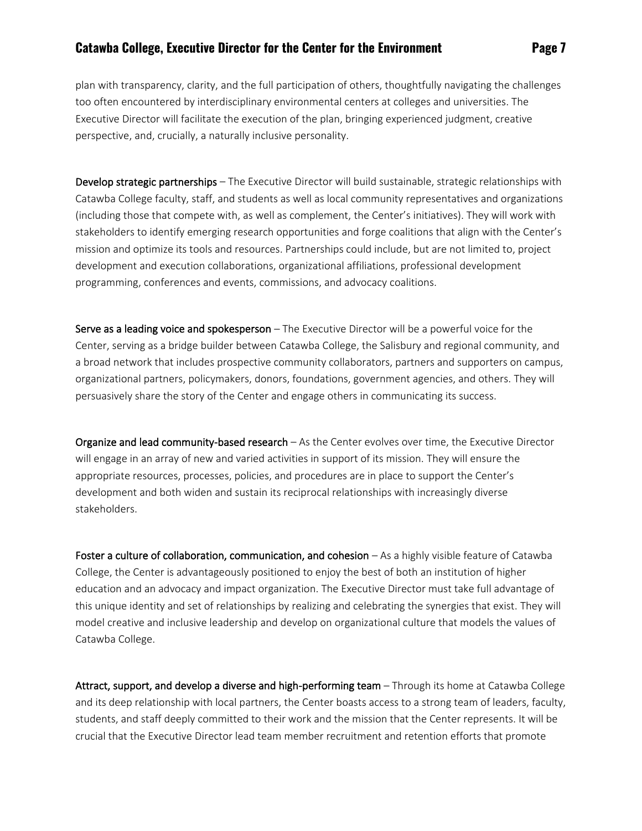plan with transparency, clarity, and the full participation of others, thoughtfully navigating the challenges too often encountered by interdisciplinary environmental centers at colleges and universities. The Executive Director will facilitate the execution of the plan, bringing experienced judgment, creative perspective, and, crucially, a naturally inclusive personality.

Develop strategic partnerships – The Executive Director will build sustainable, strategic relationships with Catawba College faculty, staff, and students as well as local community representatives and organizations (including those that compete with, as well as complement, the Center's initiatives). They will work with stakeholders to identify emerging research opportunities and forge coalitions that align with the Center's mission and optimize its tools and resources. Partnerships could include, but are not limited to, project development and execution collaborations, organizational affiliations, professional development programming, conferences and events, commissions, and advocacy coalitions.

Serve as a leading voice and spokesperson - The Executive Director will be a powerful voice for the Center, serving as a bridge builder between Catawba College, the Salisbury and regional community, and a broad network that includes prospective community collaborators, partners and supporters on campus, organizational partners, policymakers, donors, foundations, government agencies, and others. They will persuasively share the story of the Center and engage others in communicating its success.

Organize and lead community-based research – As the Center evolves over time, the Executive Director will engage in an array of new and varied activities in support of its mission. They will ensure the appropriate resources, processes, policies, and procedures are in place to support the Center's development and both widen and sustain its reciprocal relationships with increasingly diverse stakeholders.

Foster a culture of collaboration, communication, and cohesion - As a highly visible feature of Catawba College, the Center is advantageously positioned to enjoy the best of both an institution of higher education and an advocacy and impact organization. The Executive Director must take full advantage of this unique identity and set of relationships by realizing and celebrating the synergies that exist. They will model creative and inclusive leadership and develop on organizational culture that models the values of Catawba College.

Attract, support, and develop a diverse and high-performing team - Through its home at Catawba College and its deep relationship with local partners, the Center boasts access to a strong team of leaders, faculty, students, and staff deeply committed to their work and the mission that the Center represents. It will be crucial that the Executive Director lead team member recruitment and retention efforts that promote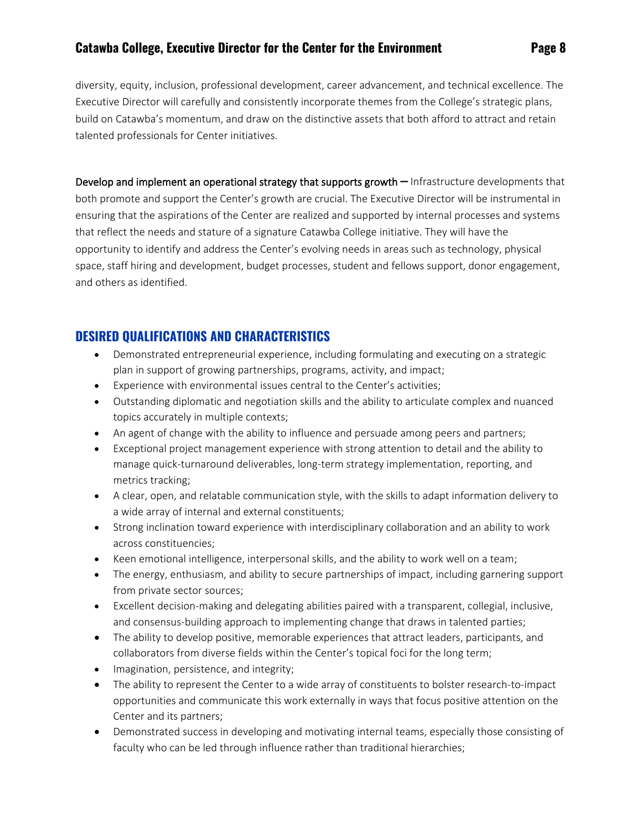diversity, equity, inclusion, professional development, career advancement, and technical excellence. The Executive Director will carefully and consistently incorporate themes from the College's strategic plans, build on Catawba's momentum, and draw on the distinctive assets that both afford to attract and retain talented professionals for Center initiatives.

Develop and implement an operational strategy that supports growth – Infrastructure developments that both promote and support the Center's growth are crucial. The Executive Director will be instrumental in ensuring that the aspirations of the Center are realized and supported by internal processes and systems that reflect the needs and stature of a signature Catawba College initiative. They will have the opportunity to identify and address the Center's evolving needs in areas such as technology, physical space, staff hiring and development, budget processes, student and fellows support, donor engagement, and others as identified.

## **DESIRED QUALIFICATIONS AND CHARACTERISTICS**

- Demonstrated entrepreneurial experience, including formulating and executing on a strategic plan in support of growing partnerships, programs, activity, and impact;
- Experience with environmental issues central to the Center's activities;
- Outstanding diplomatic and negotiation skills and the ability to articulate complex and nuanced topics accurately in multiple contexts;
- An agent of change with the ability to influence and persuade among peers and partners;
- Exceptional project management experience with strong attention to detail and the ability to manage quick-turnaround deliverables, long-term strategy implementation, reporting, and metrics tracking;
- A clear, open, and relatable communication style, with the skills to adapt information delivery to a wide array of internal and external constituents;
- Strong inclination toward experience with interdisciplinary collaboration and an ability to work across constituencies;
- Keen emotional intelligence, interpersonal skills, and the ability to work well on a team;
- The energy, enthusiasm, and ability to secure partnerships of impact, including garnering support from private sector sources;
- Excellent decision-making and delegating abilities paired with a transparent, collegial, inclusive, and consensus-building approach to implementing change that draws in talented parties;
- The ability to develop positive, memorable experiences that attract leaders, participants, and collaborators from diverse fields within the Center's topical foci for the long term;
- Imagination, persistence, and integrity;
- The ability to represent the Center to a wide array of constituents to bolster research-to-impact opportunities and communicate this work externally in ways that focus positive attention on the Center and its partners;
- Demonstrated success in developing and motivating internal teams, especially those consisting of faculty who can be led through influence rather than traditional hierarchies;